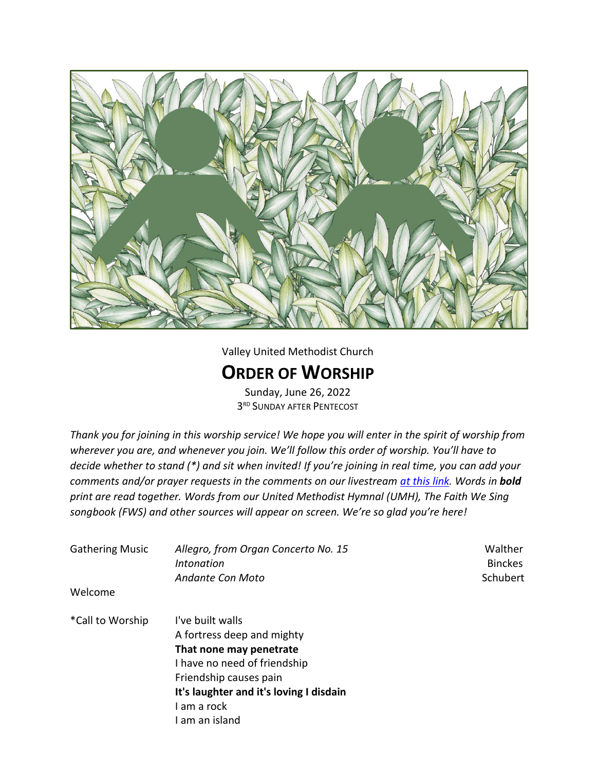

Valley United Methodist Church

## **ORDER OF WORSHIP**

Sunday, June 26, 2022 3 RD SUNDAY AFTER PENTECOST

*Thank you for joining in this worship service! We hope you will enter in the spirit of worship from wherever you are, and whenever you join. We'll follow this order of worship. You'll have to decide whether to stand (\*) and sit when invited! If you're joining in real time, you can add your comments and/or prayer requests in the comments on our livestream [at this link.](https://www.youtube.com/channel/UCs_Hdqd-84IbPMn-oTc3YTw) Words in bold print are read together. Words from our United Methodist Hymnal (UMH), The Faith We Sing songbook (FWS) and other sources will appear on screen. We're so glad you're here!*

| <b>Gathering Music</b> | Allegro, from Organ Concerto No. 15<br><i><u><b>Intonation</b></u></i> | Walther<br><b>Binckes</b> |  |
|------------------------|------------------------------------------------------------------------|---------------------------|--|
|                        | Andante Con Moto                                                       | Schubert                  |  |
| Welcome                |                                                                        |                           |  |
| *Call to Worship       | I've built walls                                                       |                           |  |
|                        | A fortress deep and mighty                                             |                           |  |
|                        | That none may penetrate                                                |                           |  |
|                        | I have no need of friendship                                           |                           |  |
|                        | Friendship causes pain                                                 |                           |  |
|                        | It's laughter and it's loving I disdain                                |                           |  |
|                        | I am a rock                                                            |                           |  |
|                        | I am an island                                                         |                           |  |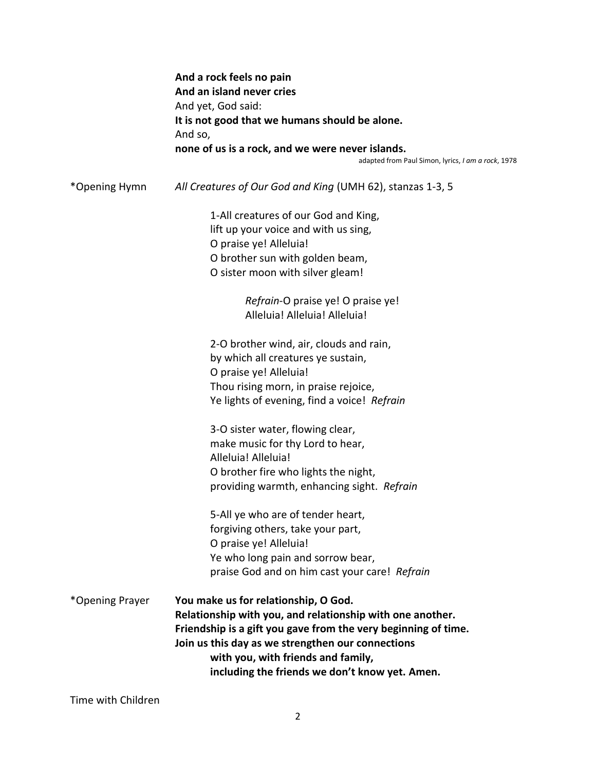|                 | And a rock feels no pain<br>And an island never cries<br>And yet, God said:<br>It is not good that we humans should be alone.<br>And so,<br>none of us is a rock, and we were never islands.<br>adapted from Paul Simon, lyrics, I am a rock, 1978                                                               |
|-----------------|------------------------------------------------------------------------------------------------------------------------------------------------------------------------------------------------------------------------------------------------------------------------------------------------------------------|
| *Opening Hymn   | All Creatures of Our God and King (UMH 62), stanzas 1-3, 5                                                                                                                                                                                                                                                       |
|                 | 1-All creatures of our God and King,<br>lift up your voice and with us sing,<br>O praise ye! Alleluia!<br>O brother sun with golden beam,<br>O sister moon with silver gleam!                                                                                                                                    |
|                 | Refrain-O praise ye! O praise ye!<br>Alleluia! Alleluia! Alleluia!                                                                                                                                                                                                                                               |
|                 | 2-O brother wind, air, clouds and rain,<br>by which all creatures ye sustain,<br>O praise ye! Alleluia!<br>Thou rising morn, in praise rejoice,<br>Ye lights of evening, find a voice! Refrain                                                                                                                   |
|                 | 3-O sister water, flowing clear,<br>make music for thy Lord to hear,<br>Alleluia! Alleluia!<br>O brother fire who lights the night,<br>providing warmth, enhancing sight. Refrain                                                                                                                                |
|                 | 5-All ye who are of tender heart,<br>forgiving others, take your part,<br>O praise ye! Alleluia!<br>Ye who long pain and sorrow bear,<br>praise God and on him cast your care! Refrain                                                                                                                           |
| *Opening Prayer | You make us for relationship, O God.<br>Relationship with you, and relationship with one another.<br>Friendship is a gift you gave from the very beginning of time.<br>Join us this day as we strengthen our connections<br>with you, with friends and family,<br>including the friends we don't know yet. Amen. |

Time with Children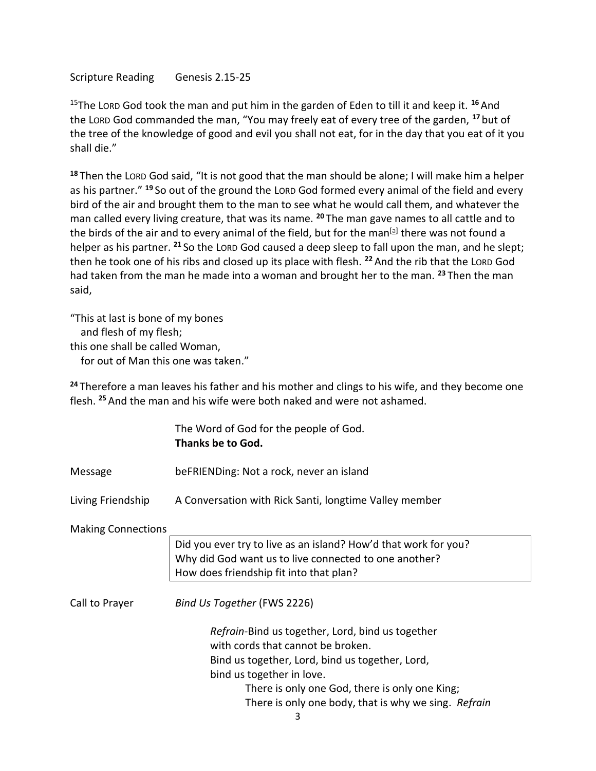## Scripture Reading Genesis 2.15-25

<sup>15</sup>The LORD God took the man and put him in the garden of Eden to till it and keep it. **<sup>16</sup>** And the LORD God commanded the man, "You may freely eat of every tree of the garden, **<sup>17</sup>** but of the tree of the knowledge of good and evil you shall not eat, for in the day that you eat of it you shall die."

**<sup>18</sup>** Then the LORD God said, "It is not good that the man should be alone; I will make him a helper as his partner." **<sup>19</sup>** So out of the ground the LORD God formed every animal of the field and every bird of the air and brought them to the man to see what he would call them, and whatever the man called every living creature, that was its name. **<sup>20</sup>** The man gave names to all cattle and to the birds of the air and to every animal of the field, but for the man<sup>[\[a\]](https://www.biblegateway.com/passage/?search=Genesis+2%3A15-25&version=NRSVUE#fen-NRSVUE-51a)</sup> there was not found a helper as his partner. **<sup>21</sup>** So the LORD God caused a deep sleep to fall upon the man, and he slept; then he took one of his ribs and closed up its place with flesh. **<sup>22</sup>** And the rib that the LORD God had taken from the man he made into a woman and brought her to the man. **<sup>23</sup>** Then the man said,

"This at last is bone of my bones and flesh of my flesh; this one shall be called Woman, for out of Man this one was taken."

<sup>24</sup> Therefore a man leaves his father and his mother and clings to his wife, and they become one flesh. **<sup>25</sup>** And the man and his wife were both naked and were not ashamed.

The Word of God for the people of God. **Thanks be to God.** Message beFRIENDing: Not a rock, never an island Living Friendship A Conversation with Rick Santi, longtime Valley member Making Connections Did you ever try to live as an island? How'd that work for you? Why did God want us to live connected to one another? How does friendship fit into that plan? Call to Prayer *Bind Us Together* (FWS 2226) *Refrain*-Bind us together, Lord, bind us together with cords that cannot be broken. Bind us together, Lord, bind us together, Lord, bind us together in love. There is only one God, there is only one King; There is only one body, that is why we sing. *Refrain*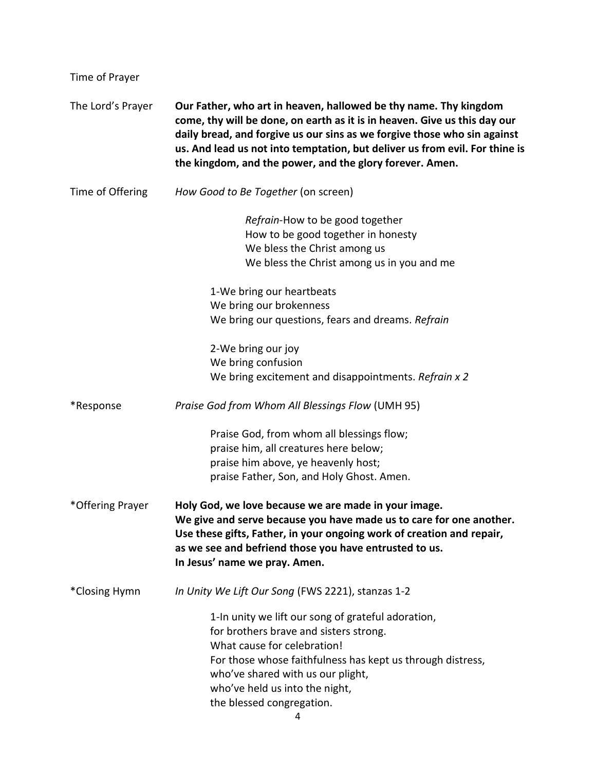| Time of Prayer    |                                                                                                                                                                                                                                                                                                                                                                      |  |
|-------------------|----------------------------------------------------------------------------------------------------------------------------------------------------------------------------------------------------------------------------------------------------------------------------------------------------------------------------------------------------------------------|--|
| The Lord's Prayer | Our Father, who art in heaven, hallowed be thy name. Thy kingdom<br>come, thy will be done, on earth as it is in heaven. Give us this day our<br>daily bread, and forgive us our sins as we forgive those who sin against<br>us. And lead us not into temptation, but deliver us from evil. For thine is<br>the kingdom, and the power, and the glory forever. Amen. |  |
| Time of Offering  | How Good to Be Together (on screen)                                                                                                                                                                                                                                                                                                                                  |  |
|                   | Refrain-How to be good together<br>How to be good together in honesty<br>We bless the Christ among us<br>We bless the Christ among us in you and me                                                                                                                                                                                                                  |  |
|                   | 1-We bring our heartbeats                                                                                                                                                                                                                                                                                                                                            |  |
|                   | We bring our brokenness                                                                                                                                                                                                                                                                                                                                              |  |
|                   | We bring our questions, fears and dreams. Refrain                                                                                                                                                                                                                                                                                                                    |  |
|                   | 2-We bring our joy                                                                                                                                                                                                                                                                                                                                                   |  |
|                   | We bring confusion                                                                                                                                                                                                                                                                                                                                                   |  |
|                   | We bring excitement and disappointments. Refrain x 2                                                                                                                                                                                                                                                                                                                 |  |
| *Response         | Praise God from Whom All Blessings Flow (UMH 95)                                                                                                                                                                                                                                                                                                                     |  |
|                   | Praise God, from whom all blessings flow;                                                                                                                                                                                                                                                                                                                            |  |
|                   | praise him, all creatures here below;                                                                                                                                                                                                                                                                                                                                |  |
|                   | praise him above, ye heavenly host;                                                                                                                                                                                                                                                                                                                                  |  |
|                   | praise Father, Son, and Holy Ghost. Amen.                                                                                                                                                                                                                                                                                                                            |  |
| *Offering Prayer  | Holy God, we love because we are made in your image.<br>We give and serve because you have made us to care for one another.<br>Use these gifts, Father, in your ongoing work of creation and repair,<br>as we see and befriend those you have entrusted to us.<br>In Jesus' name we pray. Amen.                                                                      |  |
| *Closing Hymn     | In Unity We Lift Our Song (FWS 2221), stanzas 1-2                                                                                                                                                                                                                                                                                                                    |  |
|                   | 1-In unity we lift our song of grateful adoration,<br>for brothers brave and sisters strong.<br>What cause for celebration!<br>For those whose faithfulness has kept us through distress,<br>who've shared with us our plight,<br>who've held us into the night,<br>the blessed congregation.                                                                        |  |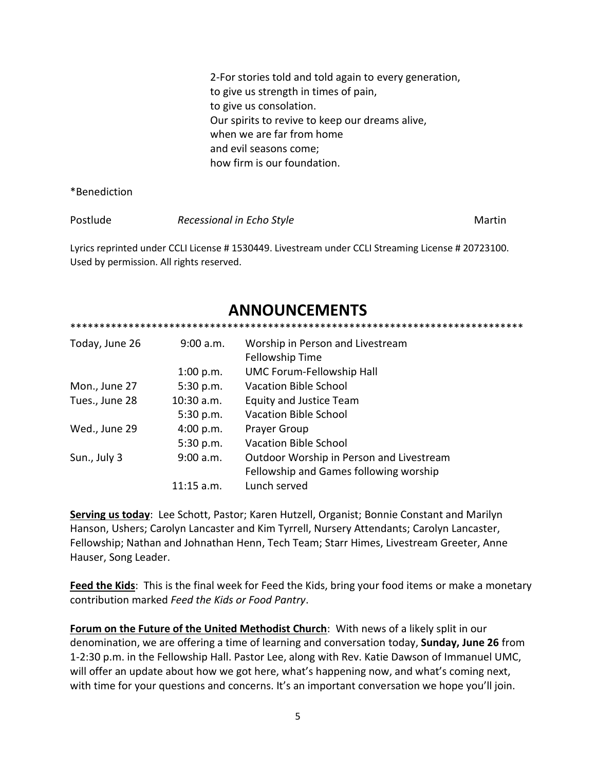2-For stories told and told again to every generation, to give us strength in times of pain, to give us consolation. Our spirits to revive to keep our dreams alive, when we are far from home and evil seasons come; how firm is our foundation.

\*Benediction

Postlude *Recessional in Echo Style* Martin **Martin** 

Lyrics reprinted under CCLI License # 1530449. Livestream under CCLI Streaming License # 20723100. Used by permission. All rights reserved.

## **ANNOUNCEMENTS** \*\*\*\*\*\*\*\*\*\*\*\*\*\*\*\*\*\*\*\*\*\*\*\*\*\*\*\*\*\*\*\*\*\*\*\*\*\*\*\*\*\*\*\*\*\*\*\*\*\*\*\*\*\*\*\*\*\*\*\*\*\*\*\*\*\*\*\*\*\*\*\*\*\*\*\*\*\*

| Today, June 26 | 9:00 a.m.    | Worship in Person and Livestream<br>Fellowship Time |
|----------------|--------------|-----------------------------------------------------|
|                | 1:00 p.m.    | UMC Forum-Fellowship Hall                           |
| Mon., June 27  | 5:30 p.m.    | <b>Vacation Bible School</b>                        |
| Tues., June 28 | $10:30$ a.m. | <b>Equity and Justice Team</b>                      |
|                | 5:30 p.m.    | <b>Vacation Bible School</b>                        |
| Wed., June 29  | 4:00 p.m.    | <b>Prayer Group</b>                                 |
|                | 5:30 p.m.    | <b>Vacation Bible School</b>                        |
| Sun., July 3   | 9:00 a.m.    | Outdoor Worship in Person and Livestream            |
|                |              | Fellowship and Games following worship              |
|                | $11:15$ a.m. | Lunch served                                        |

**Serving us today**: Lee Schott, Pastor; Karen Hutzell, Organist; Bonnie Constant and Marilyn Hanson, Ushers; Carolyn Lancaster and Kim Tyrrell, Nursery Attendants; Carolyn Lancaster, Fellowship; Nathan and Johnathan Henn, Tech Team; Starr Himes, Livestream Greeter, Anne Hauser, Song Leader.

**Feed the Kids**: This is the final week for Feed the Kids, bring your food items or make a monetary contribution marked *Feed the Kids or Food Pantry*.

**Forum on the Future of the United Methodist Church**: With news of a likely split in our denomination, we are offering a time of learning and conversation today, **Sunday, June 26** from 1-2:30 p.m. in the Fellowship Hall. Pastor Lee, along with Rev. Katie Dawson of Immanuel UMC, will offer an update about how we got here, what's happening now, and what's coming next, with time for your questions and concerns. It's an important conversation we hope you'll join.